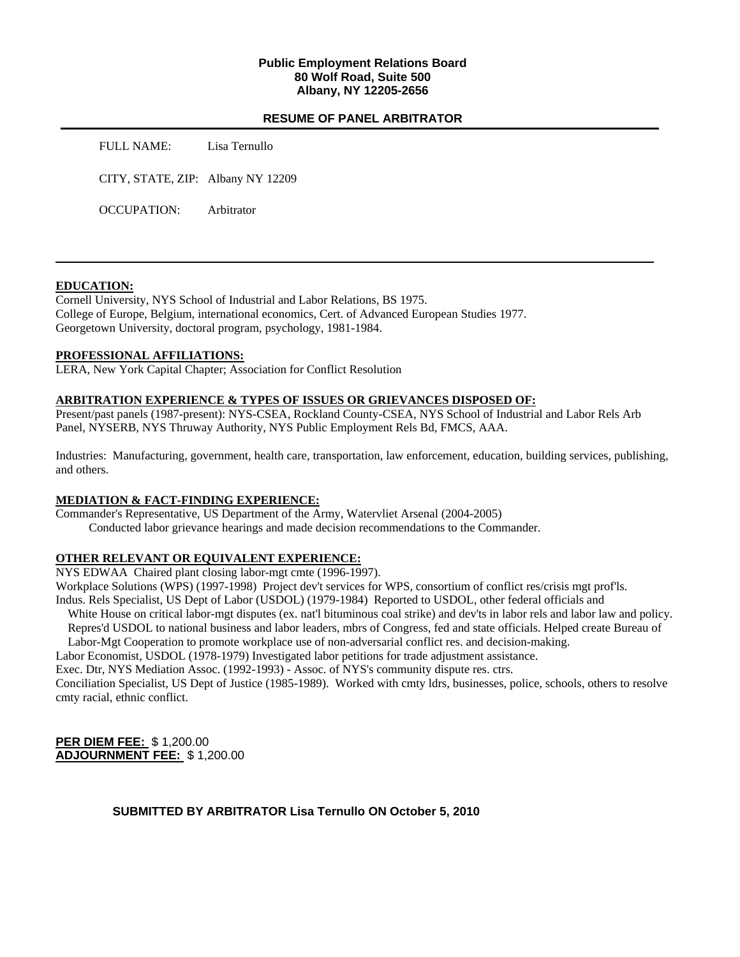## **Public Employment Relations Board 80 Wolf Road, Suite 500 Albany, NY 12205-2656**

### **RESUME OF PANEL ARBITRATOR**

FULL NAME: Lisa Ternullo

CITY, STATE, ZIP: Albany NY 12209

OCCUPATION: Arbitrator

### **EDUCATION:**

Cornell University, NYS School of Industrial and Labor Relations, BS 1975. College of Europe, Belgium, international economics, Cert. of Advanced European Studies 1977. Georgetown University, doctoral program, psychology, 1981-1984.

### **PROFESSIONAL AFFILIATIONS:**

LERA, New York Capital Chapter; Association for Conflict Resolution

### **ARBITRATION EXPERIENCE & TYPES OF ISSUES OR GRIEVANCES DISPOSED OF:**

Present/past panels (1987-present): NYS-CSEA, Rockland County-CSEA, NYS School of Industrial and Labor Rels Arb Panel, NYSERB, NYS Thruway Authority, NYS Public Employment Rels Bd, FMCS, AAA.

Industries: Manufacturing, government, health care, transportation, law enforcement, education, building services, publishing, and others.

## **MEDIATION & FACT-FINDING EXPERIENCE:**

Commander's Representative, US Department of the Army, Watervliet Arsenal (2004-2005) Conducted labor grievance hearings and made decision recommendations to the Commander.

## **OTHER RELEVANT OR EQUIVALENT EXPERIENCE:**

NYS EDWAA Chaired plant closing labor-mgt cmte (1996-1997).

Workplace Solutions (WPS) (1997-1998) Project dev't services for WPS, consortium of conflict res/crisis mgt prof'ls. Indus. Rels Specialist, US Dept of Labor (USDOL) (1979-1984) Reported to USDOL, other federal officials and

White House on critical labor-mgt disputes (ex. nat'l bituminous coal strike) and dev'ts in labor rels and labor law and policy. Repres'd USDOL to national business and labor leaders, mbrs of Congress, fed and state officials. Helped create Bureau of

Labor-Mgt Cooperation to promote workplace use of non-adversarial conflict res. and decision-making.

Labor Economist, USDOL (1978-1979) Investigated labor petitions for trade adjustment assistance.

Exec. Dtr, NYS Mediation Assoc. (1992-1993) - Assoc. of NYS's community dispute res. ctrs.

Conciliation Specialist, US Dept of Justice (1985-1989). Worked with cmty ldrs, businesses, police, schools, others to resolve cmty racial, ethnic conflict.

**PER DIEM FEE:** \$ 1,200.00 **ADJOURNMENT FEE:** \$ 1,200.00

**SUBMITTED BY ARBITRATOR Lisa Ternullo ON October 5, 2010**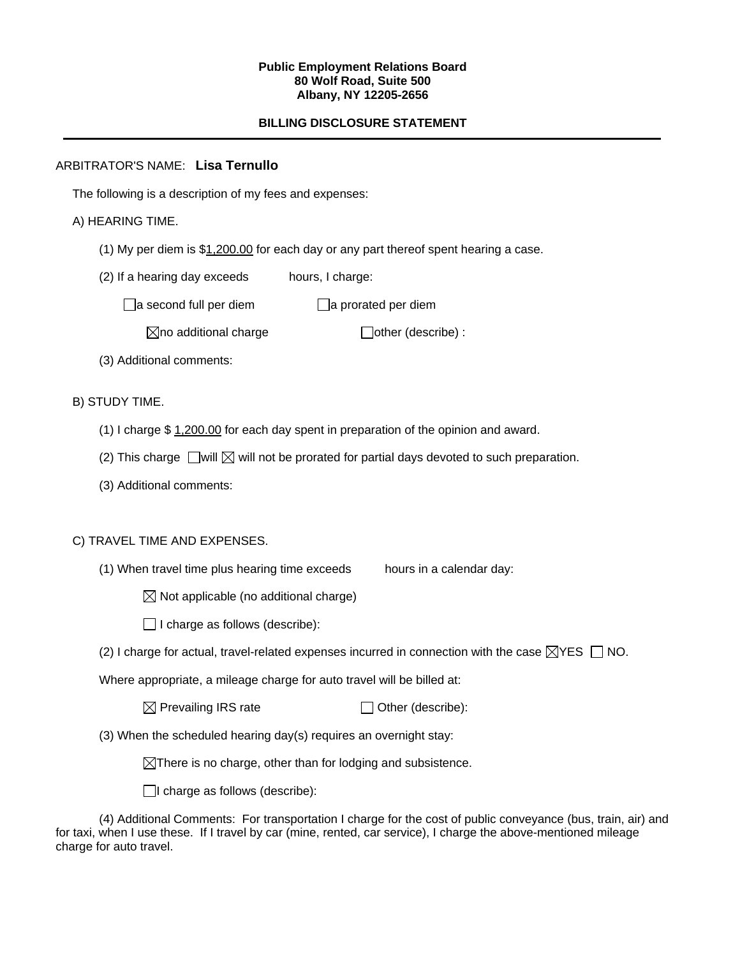### **Public Employment Relations Board 80 Wolf Road, Suite 500 Albany, NY 12205-2656**

# **BILLING DISCLOSURE STATEMENT**

# ARBITRATOR'S NAME: **Lisa Ternullo**

The following is a description of my fees and expenses:

# A) HEARING TIME.

- (1) My per diem is \$1,200.00 for each day or any part thereof spent hearing a case.
- (2) If a hearing day exceeds hours, I charge:

 $\Box$ a second full per diem  $\Box$ a prorated per diem

 $\boxtimes$ no additional charge  $\Box$ other (describe) :

(3) Additional comments:

B) STUDY TIME.

- (1) I charge \$ 1,200.00 for each day spent in preparation of the opinion and award.
- (2) This charge  $\Box$  will  $\boxtimes$  will not be prorated for partial days devoted to such preparation.
- (3) Additional comments:

## C) TRAVEL TIME AND EXPENSES.

(1) When travel time plus hearing time exceeds hours in a calendar day:

 $\boxtimes$  Not applicable (no additional charge)

 $\Box$  I charge as follows (describe):

(2) I charge for actual, travel-related expenses incurred in connection with the case  $\boxtimes$ YES  $\Box$  NO.

Where appropriate, a mileage charge for auto travel will be billed at:

| $\boxtimes$ Prevailing IRS rate | $\Box$ Other (describe): |
|---------------------------------|--------------------------|
|---------------------------------|--------------------------|

(3) When the scheduled hearing day(s) requires an overnight stay:

 $\boxtimes$ There is no charge, other than for lodging and subsistence.

 $\Box$ I charge as follows (describe):

(4) Additional Comments: For transportation I charge for the cost of public conveyance (bus, train, air) and for taxi, when I use these. If I travel by car (mine, rented, car service), I charge the above-mentioned mileage charge for auto travel.